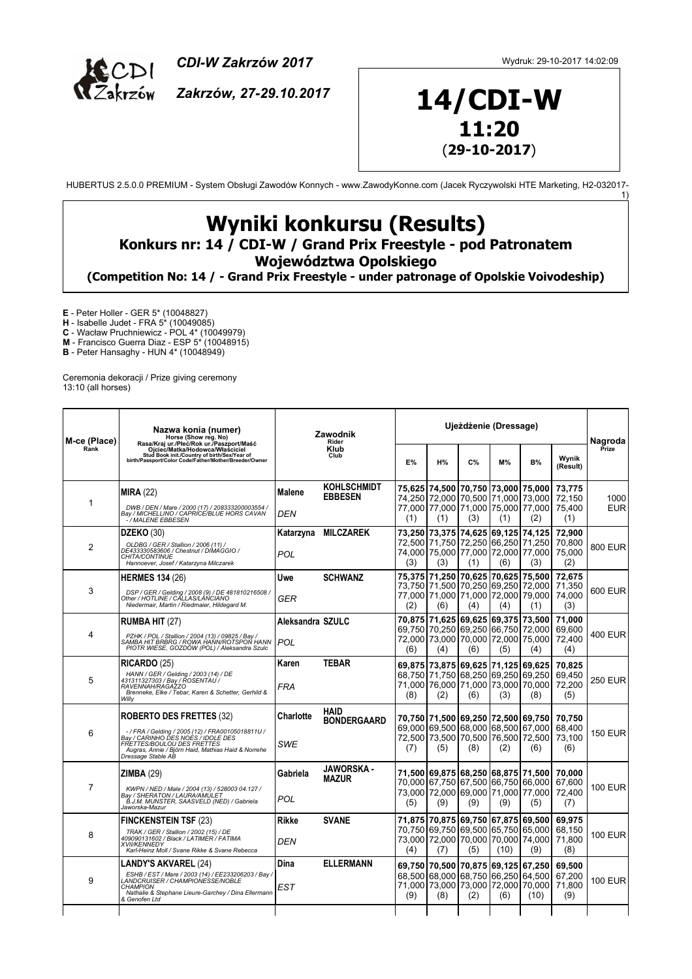

*CDI-W Zakrzów 2017*

*Zakrzów, 27-29.10.2017*

1)

## **14/CDI-W 11:20** (**29-10-2017**)

HUBERTUS 2.5.0.0 PREMIUM - System Obsługi Zawodów Konnych - www.ZawodyKonne.com (Jacek Ryczywolski HTE Marketing, H2-032017-

## **Wyniki konkursu (Results) Konkurs nr: 14 / CDI-W / Grand Prix Freestyle - pod Patronatem**

**Województwa Opolskiego**

**(Competition No: 14 / - Grand Prix Freestyle - under patronage of Opolskie Voivodeship)**

**E** - Peter Holler - GER 5\* (10048827)

**H** - Isabelle Judet - FRA 5\* (10049085)

**C** - Wacław Pruchniewicz - POL 4\* (10049979)

**M** - Francisco Guerra Diaz - ESP 5\* (10048915)

**B** - Peter Hansaghy - HUN 4\* (10048949)

Ceremonia dekoracji / Prize giving ceremony 13:10 (all horses)

| M-ce (Place)<br>Rànk | Nazwa konia (numer)<br>Horse (Show reg. No)<br>Rasa/Kraj ur./Płeć/Rok ur./Paszport/Maść<br>Ojciec/Matka/Hodowca/Właściciel<br>Stud Book init./Country of birth/Sex/Year of<br>birth/Passport/Color Code/Father/Mother/Breeder/Owner | Zawodnik<br>Rider<br>Klub<br>Club |                                   | Ujeżdżenie (Dressage)     |                                                                                                   |                                                                   |       |                                                                                                                       |                                   | Nagroda            |
|----------------------|-------------------------------------------------------------------------------------------------------------------------------------------------------------------------------------------------------------------------------------|-----------------------------------|-----------------------------------|---------------------------|---------------------------------------------------------------------------------------------------|-------------------------------------------------------------------|-------|-----------------------------------------------------------------------------------------------------------------------|-----------------------------------|--------------------|
|                      |                                                                                                                                                                                                                                     |                                   |                                   | <b>E%</b>                 | H%                                                                                                | C%                                                                | $M\%$ | <b>B%</b>                                                                                                             | Wynik<br>(Result)                 | Prize              |
| $\mathbf 1$          | MIRA (22)<br>DWB / DEN / Mare / 2000 (17) / 208333200003554 /<br>Bay / MICHELLINO / CAPRICE/BLUE HORS CAVAN<br>-/ MALENE EBBESEN                                                                                                    | Malene<br>DEN                     | KOHLSCHMIDT<br><b>EBBESEN</b>     | (1)                       | 75,625   74,500   70,750   73,000   75,000<br>74,250 72,000<br>(1)                                | 70,500<br>(3)                                                     | (1)   | 71,000 73,000<br>77,000 77,000 71,000 75,000 77,000<br>(2)                                                            | 73,775<br>72,150<br>75,400<br>(1) | 1000<br><b>EUR</b> |
| 2                    | <b>DZEKO (30)</b><br>OLDBG / GER / Stallion / 2006 (11) /<br>DE433330583606 / Chestnut / DIMAGGIO /<br>CHITA/CONTINUE<br>Hannoever, Josef / Katarzyna Milczarek                                                                     | Katarzyna<br>POL                  | <b>MILCZAREK</b>                  | 73,250<br>72.500 l<br>(3) | 74,000 75,000 77,000 72,000 77,000<br>(3)                                                         | 73,375 74,625 69,125 74,125<br>71,750 72,250 66,250 71,250<br>(1) | (6)   | (3)                                                                                                                   | 72,900<br>70,800<br>75,000<br>(2) | 800 EUR            |
| 3                    | <b>HERMES 134 (26)</b><br>DSP / GER / Gelding / 2008 (9) / DE 481810216508 /<br>Other / HOTLINE / CĂLLAS/LÀŃCIANO<br>Niedermair, Martin / Riedmaier, Hildegard M.                                                                   | Uwe<br>GER                        | <b>SCHWANZ</b>                    | 75,375 <br>(2)            | 71,250<br>73,750   71,500   70,250   69,250   72,000<br>77,000 71,000 71,000 72,000 79,000<br>(6) | 70,625  70,625   75,500<br>(4)                                    | (4)   | (1)                                                                                                                   | 72,675<br>71,350<br>74,000<br>(3) | 600 EUR            |
| 4                    | <b>RUMBA HIT (27)</b><br>PZHK / POL / Stallion / 2004 (13) / 09825 / Bay /<br>SAMBA HIT BRBRG / ROWA HANN/ROTSPON HANN<br>PIOTR WIESE, GOZDÓW (POL) / Aleksandra Szulc                                                              | Aleksandra SZULC<br>POL           |                                   | (6)                       | 70.875 71.625 69.625 69.375 73.500<br>69,750 70,250 69,250 66,750 72,000<br>(4)                   | (6)                                                               | (5)   | 72,000 73,000 70,000 72,000 75,000<br>(4)                                                                             | 71.000<br>69,600<br>72,400<br>(4) | 400 EUR            |
| 5                    | <b>RICARDO (25)</b><br>HANN / GER / Gelding / 2003 (14) / DE<br>431311327303 / Bay / ROSENTAU /<br>RAVENNAH/RAGAZZO<br>Brenneke, Elke / Tebar, Karen & Schetter, Gerhild &<br>Willy                                                 | Karen<br>FRA                      | <b>TEBAR</b>                      | (8)                       | 69,875 73,875 69,625 71,125 69,625<br>68,750 71,750 68,250 69,250 69,250<br>(2)                   | (6)                                                               | (3)   | 71,000 76,000 71,000 73,000 70,000<br>(8)                                                                             | 70,825<br>69,450<br>72,200<br>(5) | <b>250 EUR</b>     |
| 6                    | <b>ROBERTO DES FRETTES (32)</b><br>-/ FRA / Gelding / 2005 (12) / FRA00105018811U /<br>Bay / CARINHO DES NOES / IDOLE DES<br>FRETTES/BOULOU DES FRETTES<br>Augras, Annie / Björn Haid, Mathias Haid & Norrehe<br>Dressage Stable AB | Charlotte<br>SWE                  | <b>HAID</b><br><b>BONDERGAARD</b> | (7)                       | 69,000 69,500 68,000 68,500 67,000<br>72,500 73,500 70,500 76,500 72,500<br>(5)                   | (8)                                                               | (2)   | 70,750 71,500 69,250 72,500 69,750<br>(6)                                                                             | 70.750<br>68,400<br>73,100<br>(6) | <b>150 EUR</b>     |
| $\overline{7}$       | ZIMBA(29)<br>KWPN / NED / Male / 2004 (13) / 528003 04.127 /<br>Bay / SHERATON / LAURA/AMÚLET<br>B.J.M. MUNSTER, SAASVELD (NED) / Gabriela<br>Jaworska-Mazur                                                                        | Gabriela<br>POL                   | JAWORSKA -<br><b>MAZUR</b>        | (5)                       | (9)                                                                                               | (9)                                                               | (9)   | 71,500 69,875 68,250 68,875 71,500<br>70,000 67,750 67,500 66,750 66,000<br>73,000 72,000 69,000 71,000 77,000<br>(5) | 70,000<br>67,600<br>72,400<br>(7) | <b>100 EUR</b>     |
| 8                    | <b>FINCKENSTEIN TSF (23)</b><br>TRAK / GER / Stallion / 2002 (15) / DE<br>409090131602 / Black / LATIMÈR / FATIMA<br><b>XVII/KENNEDY</b><br>Karl-Heinz Moll / Svane Rikke & Svane Rebecca                                           | Rikke<br>DEN                      | <b>SVANE</b>                      | (4)                       | 71,875 70,875 69,750 67,875 69,500<br>73,000 72,000 70,000 70,000 74,000<br>(7)                   | (5)                                                               | (10)  | 70,750 69,750 69,500 65,750 65,000<br>(9)                                                                             | 69,975<br>68,150<br>71,800<br>(8) | <b>100 EUR</b>     |
| 9                    | LANDY'S AKVAREL (24)<br>ESHB / EST / Mare / 2003 (14) / EE233206203 / Bay /<br>LANDCRUISER / CHAMPIONESSE/NOBLE<br><b>CHAMPION</b><br>Nathalie & Stephane Lieure-Garchey / Dina Ellermann<br>& Genofen Ltd                          | Dina<br>EST                       | <b>ELLERMANN</b>                  | (9)                       | 69.750 70.500<br>68,500 68,000 68,750 66,250 64,500<br>71,000 73,000 73,000 72,000 70,000<br>(8)  | 70,875 <br>(2)                                                    | (6)   | 69,125 67,250<br>(10)                                                                                                 | 69,500<br>67,200<br>71,800<br>(9) | <b>100 EUR</b>     |
|                      |                                                                                                                                                                                                                                     |                                   |                                   |                           |                                                                                                   |                                                                   |       |                                                                                                                       |                                   |                    |